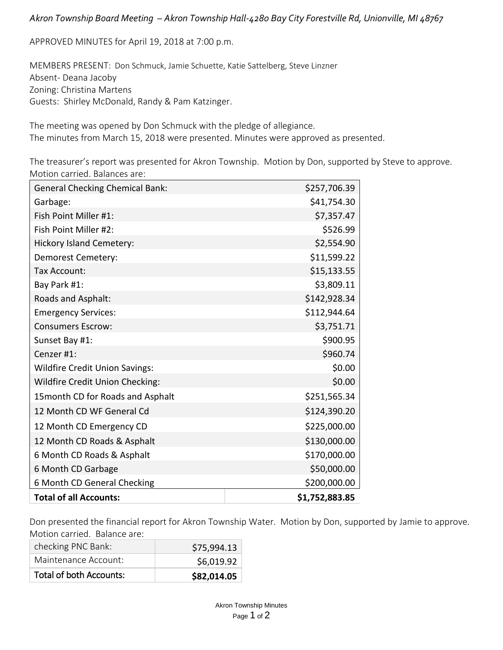## *Akron Township Board Meeting – Akron Township Hall-4280 Bay City Forestville Rd, Unionville, MI 48767*

APPROVED MINUTES for April 19, 2018 at 7:00 p.m.

MEMBERS PRESENT: Don Schmuck, Jamie Schuette, Katie Sattelberg, Steve Linzner Absent- Deana Jacoby Zoning: Christina Martens Guests: Shirley McDonald, Randy & Pam Katzinger.

The meeting was opened by Don Schmuck with the pledge of allegiance. The minutes from March 15, 2018 were presented. Minutes were approved as presented.

The treasurer's report was presented for Akron Township. Motion by Don, supported by Steve to approve. Motion carried. Balances are:

| <b>General Checking Chemical Bank:</b> | \$257,706.39   |
|----------------------------------------|----------------|
| Garbage:                               | \$41,754.30    |
| Fish Point Miller #1:                  | \$7,357.47     |
| Fish Point Miller #2:                  | \$526.99       |
| <b>Hickory Island Cemetery:</b>        | \$2,554.90     |
| Demorest Cemetery:                     | \$11,599.22    |
| Tax Account:                           | \$15,133.55    |
| Bay Park #1:                           | \$3,809.11     |
| Roads and Asphalt:                     | \$142,928.34   |
| <b>Emergency Services:</b>             | \$112,944.64   |
| <b>Consumers Escrow:</b>               | \$3,751.71     |
| Sunset Bay #1:                         | \$900.95       |
| Cenzer #1:                             | \$960.74       |
| <b>Wildfire Credit Union Savings:</b>  | \$0.00         |
| Wildfire Credit Union Checking:        | \$0.00         |
| 15 month CD for Roads and Asphalt      | \$251,565.34   |
| 12 Month CD WF General Cd              | \$124,390.20   |
| 12 Month CD Emergency CD               | \$225,000.00   |
| 12 Month CD Roads & Asphalt            | \$130,000.00   |
| 6 Month CD Roads & Asphalt             | \$170,000.00   |
| 6 Month CD Garbage                     | \$50,000.00    |
| 6 Month CD General Checking            | \$200,000.00   |
| <b>Total of all Accounts:</b>          | \$1,752,883.85 |

Don presented the financial report for Akron Township Water. Motion by Don, supported by Jamie to approve. Motion carried. Balance are:

| <b>Total of both Accounts:</b> | \$82,014.05 |
|--------------------------------|-------------|
| Maintenance Account:           | \$6,019.92  |
| checking PNC Bank:             | \$75,994.13 |